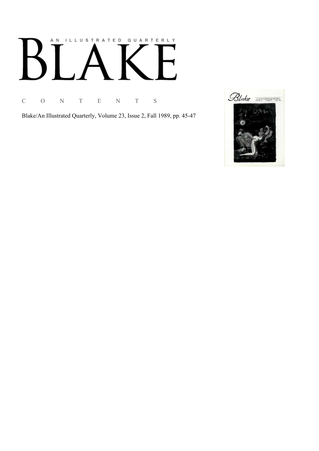## AN ILLUSTRATED QUARTERLY  $\bm{\mathsf{B}}$  $\mathbb{R}^n$

C O N T E N T S

Blake/An Illustrated Quarterly, Volume 23, Issue 2, Fall 1989, pp. 45-47

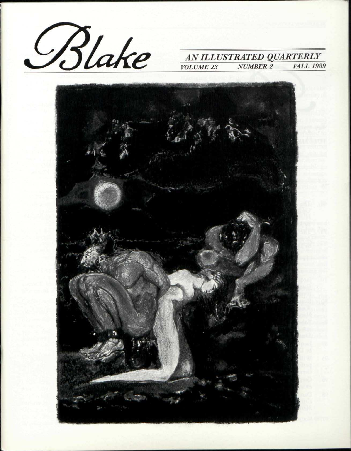

# *NUMBER 2*

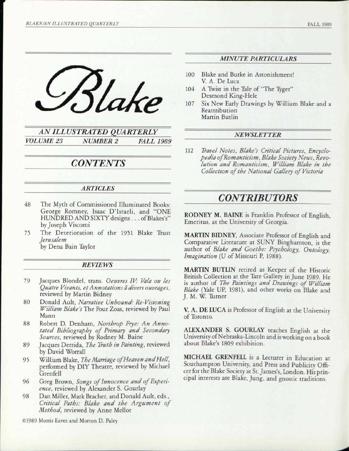

*AN ILLUSTRATED QUARTERLY VOLUME 23 NUMBER 2 FALL 1989* 

## *CONTENTS*

#### *ARTICLES*

- 48 The Myth of Commissioned Illuminated Books: George Romney, Isaac D'Israeli, and "ONE HUNDRED AND SIXTY designs. . . of Blakes's" by Joseph Viscomi
- 75 The Deterioration of the 1951 Blake Trust *Jerusalem*  by Dena Bain Taylor

#### *REVIEWS*

- 79 Jacques Blondel, trans. *Oeuvres IV: Vala ou les Quatre Vivants, et Annotations a divers ouvrages,*  reviewed by Martin Bidney
- 80 Donald Ault, *Narrative Unbound: Re-Visioning William Blake's* The Four Zoas, reviewed by Paul Mann
- 88 Robert D. Denham, *Northrop Frye: An Annotated Bibliography of Primary and Secondary Sources,* reviewed by Rodney M. Baine
- 89 Jacques Derrida, *The Truth in Painting,* reviewed by David Worrall
- 95 William Blake, *The Marriage of Heaven and Hell,*  performed by DIY Theatre, reviewed by Michael Grenfell
- 96 Greg Brown, *Songs of Innocence and of Experience,* reviewed by Alexander S. Gourlay
- 98 Dan Miller, Mark Bracher, and Donald Ault, eds., *Critical Paths: Blake and the Argument of Method,* reviewed by Anne Mellor

©1989 Morris Eaves and Morton D. Palcy

#### *MINUTE PARTICULARS*

- 100 Blake and Burke in Astonishment! V. A. De Luca
- 104 A Twist in the Tale of "The Tyger" Desmond King-Hele
- 107 Six New Early Drawings by William Blake and a Reattribution Martin Butlin

#### *NEWSLETTER*

112 *Travel Notes, Blake's Critical Pictures, Encyclopedia of Romanticism, Blake Society News, Revolution and Romanticism, William Blake in the Collection of the National Gallery of Victoria* 

## *CONTRIBUTORS*

RODNEY M. BAINE is Franklin Professor of English, Emeritus, at the University of Georgia.

MARTIN BIDNEY, Associate Professor of English and Comparative Literature at SUNY Binghamton, is the author of *Blake and Goethe: Psychology, Ontology, Imagination* (U of Missouri P, 1988).

MARTIN BUTLIN retired as Keeper of the Historic British Collection at the Tate Gallery in June 1989. He is author of *The Paintings and Drawings of William Blake* (Yale UP, 1981), and other works on Blake and J. M. W. Turner

V. A. DE LUCA is Professor of English at the University of Toronto.

ALEXANDER S. GOURLAY teaches English at the University of Nebraska-Lincoln and is working on a book about Blake's 1809 exhibition.

MICHAEL GRENFELL is a Lecturer in Education at Southampton University, and Press and Publicity Officer for the Blake Society at St. James's, London. His principal interests are Blake, Jung, and gnostic traditions.